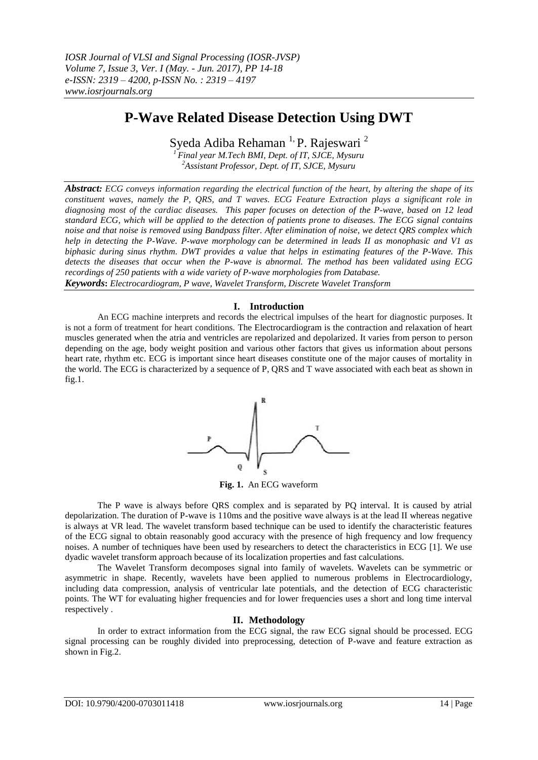# **P-Wave Related Disease Detection Using DWT**

Syeda Adiba Rehaman<sup>1,</sup> P. Rajeswari<sup>2</sup>

*<sup>1</sup> Final year M.Tech BMI, Dept. of IT, SJCE, Mysuru <sup>2</sup>Assistant Professor, Dept. of IT, SJCE, Mysuru*

*Abstract: ECG conveys information regarding the electrical function of the heart, by altering the shape of its constituent waves, namely the P, QRS, and T waves. ECG Feature Extraction plays a significant role in diagnosing most of the cardiac diseases. This paper focuses on detection of the P-wave, based on 12 lead standard ECG, which will be applied to the detection of patients prone to diseases. The ECG signal contains noise and that noise is removed using Bandpass filter. After elimination of noise, we detect QRS complex which help in detecting the P-Wave. P-wave morphology can be determined in leads II as monophasic and V1 as biphasic during sinus rhythm. DWT provides a value that helps in estimating features of the P-Wave. This detects the diseases that occur when the P-wave is abnormal. The method has been validated using ECG recordings of 250 patients with a wide variety of P-wave morphologies from Database. Keywords***:** *Electrocardiogram, P wave, Wavelet Transform, Discrete Wavelet Transform*

## **I. Introduction**

An ECG machine interprets and records the electrical impulses of the heart for diagnostic purposes. It is not a form of treatment for heart conditions. The Electrocardiogram is the contraction and relaxation of heart muscles generated when the atria and ventricles are repolarized and depolarized. It varies from person to person depending on the age, body weight position and various other factors that gives us information about persons heart rate, rhythm etc. ECG is important since heart diseases constitute one of the major causes of mortality in the world. The ECG is characterized by a sequence of P, QRS and T wave associated with each beat as shown in fig.1.



**Fig. 1.** An ECG waveform

The P wave is always before QRS complex and is separated by PQ interval. It is caused by atrial depolarization. The duration of P-wave is 110ms and the positive wave always is at the lead II whereas negative is always at VR lead. The wavelet transform based technique can be used to identify the characteristic features of the ECG signal to obtain reasonably good accuracy with the presence of high frequency and low frequency noises. A number of techniques have been used by researchers to detect the characteristics in ECG [1]. We use dyadic wavelet transform approach because of its localization properties and fast calculations.

The Wavelet Transform decomposes signal into family of wavelets. Wavelets can be symmetric or asymmetric in shape. Recently, wavelets have been applied to numerous problems in Electrocardiology, including data compression, analysis of ventricular late potentials, and the detection of ECG characteristic points. The WT for evaluating higher frequencies and for lower frequencies uses a short and long time interval respectively .

## **II. Methodology**

In order to extract information from the ECG signal, the raw ECG signal should be processed. ECG signal processing can be roughly divided into preprocessing, detection of P-wave and feature extraction as shown in Fig.2.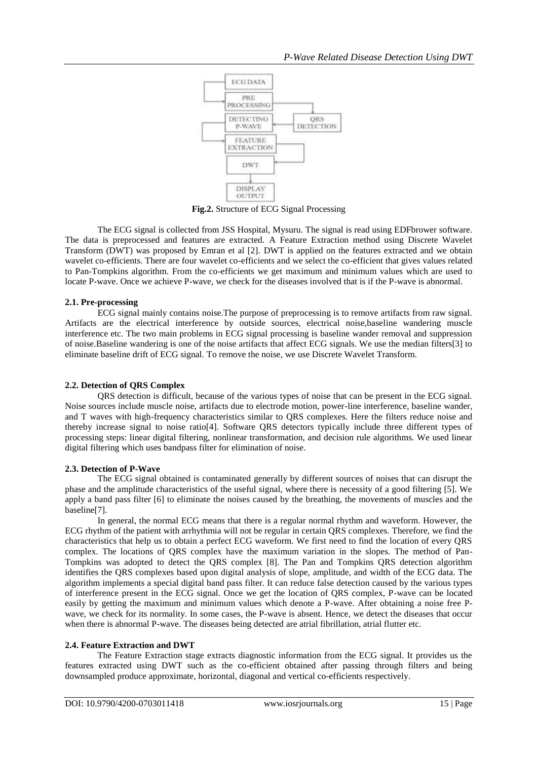

**Fig.2.** Structure of ECG Signal Processing

The ECG signal is collected from JSS Hospital, Mysuru. The signal is read using EDFbrower software. The data is preprocessed and features are extracted. A Feature Extraction method using Discrete Wavelet Transform (DWT) was proposed by Emran et al [2]. DWT is applied on the features extracted and we obtain wavelet co-efficients. There are four wavelet co-efficients and we select the co-efficient that gives values related to Pan-Tompkins algorithm. From the co-efficients we get maximum and minimum values which are used to locate P-wave. Once we achieve P-wave, we check for the diseases involved that is if the P-wave is abnormal.

### **2.1. Pre-processing**

ECG signal mainly contains noise.The purpose of preprocessing is to remove artifacts from raw signal. Artifacts are the electrical interference by outside sources, electrical noise,baseline wandering muscle interference etc. The two main problems in ECG signal processing is baseline wander removal and suppression of noise.Baseline wandering is one of the noise artifacts that affect ECG signals. We use the median filters[3] to eliminate baseline drift of ECG signal. To remove the noise, we use Discrete Wavelet Transform.

#### **2.2. Detection of QRS Complex**

QRS detection is difficult, because of the various types of noise that can be present in the ECG signal. Noise sources include muscle noise, artifacts due to electrode motion, power-line interference, baseline wander, and T waves with high-frequency characteristics similar to QRS complexes. Here the filters reduce noise and thereby increase signal to noise ratio[4]. Software QRS detectors typically include three different types of processing steps: linear digital filtering, nonlinear transformation, and decision rule algorithms. We used linear digital filtering which uses bandpass filter for elimination of noise.

#### **2.3. Detection of P-Wave**

The ECG signal obtained is contaminated generally by different sources of noises that can disrupt the phase and the amplitude characteristics of the useful signal, where there is necessity of a good filtering [5]. We apply a band pass filter [6] to eliminate the noises caused by the breathing, the movements of muscles and the baseline[7].

In general, the normal ECG means that there is a regular normal rhythm and waveform. However, the ECG rhythm of the patient with arrhythmia will not be regular in certain QRS complexes. Therefore, we find the characteristics that help us to obtain a perfect ECG waveform. We first need to find the location of every QRS complex. The locations of QRS complex have the maximum variation in the slopes. The method of Pan-Tompkins was adopted to detect the QRS complex [8]. The Pan and Tompkins QRS detection algorithm identifies the QRS complexes based upon digital analysis of slope, amplitude, and width of the ECG data. The algorithm implements a special digital band pass filter. It can reduce false detection caused by the various types of interference present in the ECG signal. Once we get the location of QRS complex, P-wave can be located easily by getting the maximum and minimum values which denote a P-wave. After obtaining a noise free Pwave, we check for its normality. In some cases, the P-wave is absent. Hence, we detect the diseases that occur when there is abnormal P-wave. The diseases being detected are atrial fibrillation, atrial flutter etc.

#### **2.4. Feature Extraction and DWT**

The Feature Extraction stage extracts diagnostic information from the ECG signal. It provides us the features extracted using DWT such as the co-efficient obtained after passing through filters and being downsampled produce approximate, horizontal, diagonal and vertical co-efficients respectively.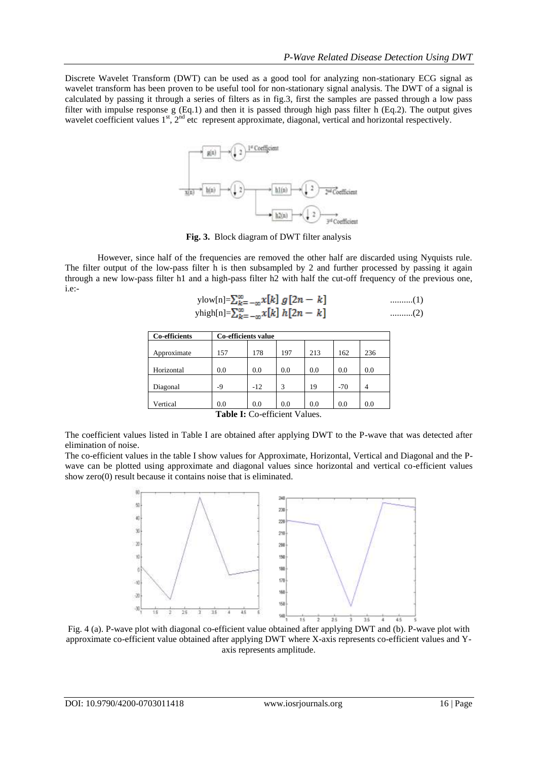Discrete Wavelet Transform (DWT) can be used as a good tool for analyzing non-stationary ECG signal as wavelet transform has been proven to be useful tool for non-stationary signal analysis. The DWT of a signal is calculated by passing it through a series of filters as in fig.3, first the samples are passed through a low pass filter with impulse response g (Eq.1) and then it is passed through high pass filter h (Eq.2). The output gives wavelet coefficient values 1<sup>st</sup>, 2<sup>nd</sup> etc represent approximate, diagonal, vertical and horizontal respectively.



**Fig. 3.** Block diagram of DWT filter analysis

However, since half of the frequencies are removed the other half are discarded using Nyquists rule. The filter output of the low-pass filter h is then subsampled by 2 and further processed by passing it again through a new low-pass filter h1 and a high-pass filter h2 with half the cut-off frequency of the previous one, i.e:-

$$
\text{ylow[n]} = \sum_{k=-\infty}^{\infty} x[k] g[2n-k] \quad \text{........(1)}
$$
\n
$$
\text{yhigh[n]} = \sum_{k=-\infty}^{\infty} x[k] h[2n-k] \quad \text{........(2)}
$$

| Co-efficients                                                         | Co-efficients value |       |     |     |       |     |  |
|-----------------------------------------------------------------------|---------------------|-------|-----|-----|-------|-----|--|
|                                                                       |                     |       |     |     |       |     |  |
| Approximate                                                           | 157                 | 178   | 197 | 213 | 162   | 236 |  |
|                                                                       |                     |       |     |     |       |     |  |
| Horizontal                                                            | 0.0                 | 0.0   | 0.0 | 0.0 | 0.0   | 0.0 |  |
|                                                                       |                     |       |     |     |       |     |  |
| Diagonal                                                              | -9                  | $-12$ | 3   | 19  | $-70$ | 4   |  |
|                                                                       |                     |       |     |     |       |     |  |
| Vertical                                                              | 0.0                 | 0.0   | 0.0 | 0.0 | 0.0   | 0.0 |  |
| $\mathbf{T}$ . Lis L. $\mathbf{C}$ . L. $\mathbf{C}$ . L. L. L. L. L. |                     |       |     |     |       |     |  |

**Table I:** Co-efficient Values.

The coefficient values listed in Table I are obtained after applying DWT to the P-wave that was detected after elimination of noise.

The co-efficient values in the table I show values for Approximate, Horizontal, Vertical and Diagonal and the Pwave can be plotted using approximate and diagonal values since horizontal and vertical co-efficient values show zero(0) result because it contains noise that is eliminated.



Fig. 4 (a). P-wave plot with diagonal co-efficient value obtained after applying DWT and (b). P-wave plot with approximate co-efficient value obtained after applying DWT where X-axis represents co-efficient values and Yaxis represents amplitude.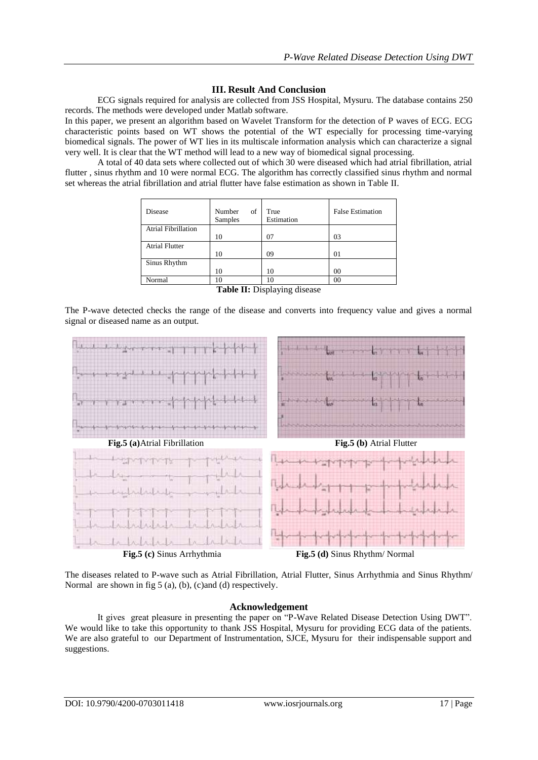# **III. Result And Conclusion**

ECG signals required for analysis are collected from JSS Hospital, Mysuru. The database contains 250 records. The methods were developed under Matlab software.

In this paper, we present an algorithm based on Wavelet Transform for the detection of P waves of ECG. ECG characteristic points based on WT shows the potential of the WT especially for processing time-varying biomedical signals. The power of WT lies in its multiscale information analysis which can characterize a signal very well. It is clear that the WT method will lead to a new way of biomedical signal processing.

A total of 40 data sets where collected out of which 30 were diseased which had atrial fibrillation, atrial flutter , sinus rhythm and 10 were normal ECG. The algorithm has correctly classified sinus rhythm and normal set whereas the atrial fibrillation and atrial flutter have false estimation as shown in Table II.

| Disease                    | Number<br>οf<br><b>Samples</b> | True<br>Estimation | <b>False Estimation</b> |
|----------------------------|--------------------------------|--------------------|-------------------------|
| <b>Atrial Fibrillation</b> |                                |                    |                         |
|                            | 10                             | 07                 | 03                      |
| <b>Atrial Flutter</b>      |                                |                    |                         |
|                            | 10                             | 09                 | 01                      |
| Sinus Rhythm               |                                |                    |                         |
|                            | 10                             | 10                 | 00                      |
| Normal                     | 10                             | 10                 | $\rm 00$                |

|  |  | Table II: Displaying disease |
|--|--|------------------------------|
|  |  |                              |

The P-wave detected checks the range of the disease and converts into frequency value and gives a normal signal or diseased name as an output.



**Fig.5 (c)** Sinus Arrhythmia **Fig.5 (d)** Sinus Rhythm/ Normal

The diseases related to P-wave such as Atrial Fibrillation, Atrial Flutter, Sinus Arrhythmia and Sinus Rhythm/ Normal are shown in fig 5 (a), (b), (c)and (d) respectively.

## **Acknowledgement**

It gives great pleasure in presenting the paper on "P-Wave Related Disease Detection Using DWT". We would like to take this opportunity to thank JSS Hospital, Mysuru for providing ECG data of the patients. We are also grateful to our Department of Instrumentation, SJCE, Mysuru for their indispensable support and suggestions.